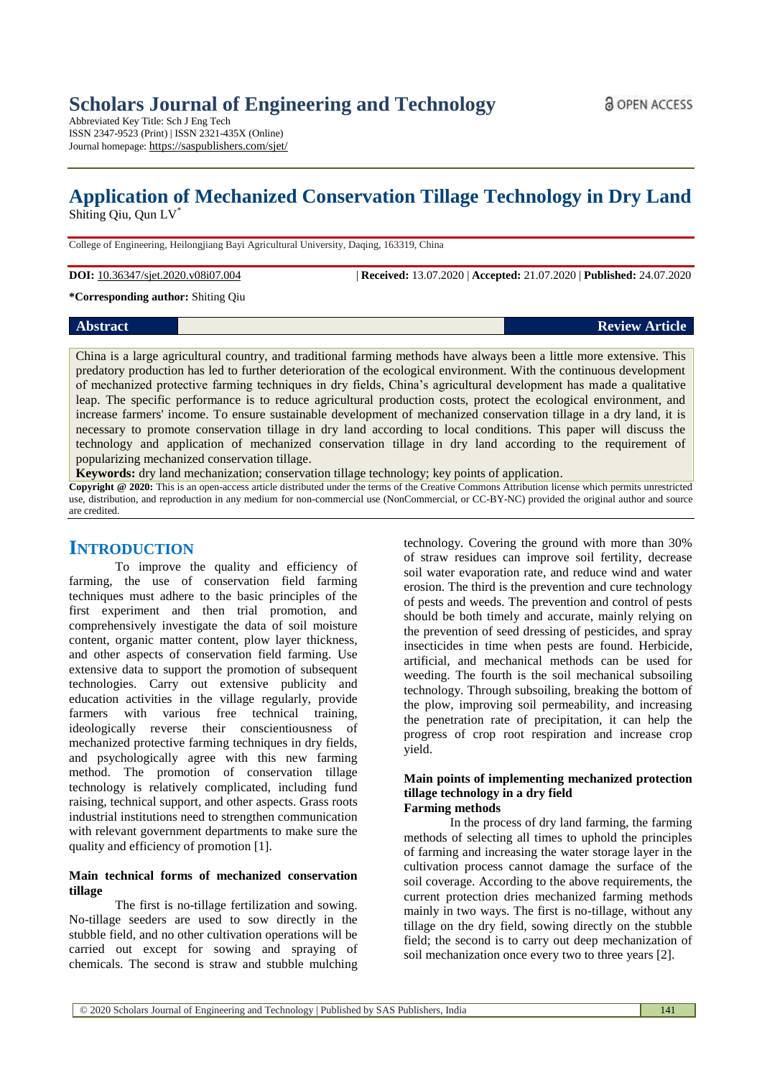Abbreviated Key Title: Sch J Eng Tech ISSN 2347-9523 (Print) | ISSN 2321-435X (Online) Journal homepage: https://saspublishers.com/sjet/

# **Application of Mechanized Conservation Tillage Technology in Dry Land**

Shiting Qiu, Qun LV\*

College of Engineering, Heilongjiang Bayi Agricultural University, Daqing, 163319, China

**DOI:** 10.36347/sjet.2020.v08i07.004 | **Received:** 13.07.2020 | **Accepted:** 21.07.2020 | **Published:** 24.07.2020

**\*Corresponding author:** Shiting Qiu

# **Abstract Review Article**

China is a large agricultural country, and traditional farming methods have always been a little more extensive. This predatory production has led to further deterioration of the ecological environment. With the continuous development of mechanized protective farming techniques in dry fields, China's agricultural development has made a qualitative leap. The specific performance is to reduce agricultural production costs, protect the ecological environment, and increase farmers' income. To ensure sustainable development of mechanized conservation tillage in a dry land, it is necessary to promote conservation tillage in dry land according to local conditions. This paper will discuss the technology and application of mechanized conservation tillage in dry land according to the requirement of popularizing mechanized conservation tillage.

**Keywords:** dry land mechanization; conservation tillage technology; key points of application.

**Copyright @ 2020:** This is an open-access article distributed under the terms of the Creative Commons Attribution license which permits unrestricted use, distribution, and reproduction in any medium for non-commercial use (NonCommercial, or CC-BY-NC) provided the original author and source are credited.

# **INTRODUCTION**

To improve the quality and efficiency of farming, the use of conservation field farming techniques must adhere to the basic principles of the first experiment and then trial promotion, and comprehensively investigate the data of soil moisture content, organic matter content, plow layer thickness, and other aspects of conservation field farming. Use extensive data to support the promotion of subsequent technologies. Carry out extensive publicity and education activities in the village regularly, provide farmers with various free technical training, ideologically reverse their conscientiousness of mechanized protective farming techniques in dry fields, and psychologically agree with this new farming method. The promotion of conservation tillage technology is relatively complicated, including fund raising, technical support, and other aspects. Grass roots industrial institutions need to strengthen communication with relevant government departments to make sure the quality and efficiency of promotion [1].

# **Main technical forms of mechanized conservation tillage**

The first is no-tillage fertilization and sowing. No-tillage seeders are used to sow directly in the stubble field, and no other cultivation operations will be carried out except for sowing and spraying of chemicals. The second is straw and stubble mulching

technology. Covering the ground with more than 30% of straw residues can improve soil fertility, decrease soil water evaporation rate, and reduce wind and water erosion. The third is the prevention and cure technology of pests and weeds. The prevention and control of pests should be both timely and accurate, mainly relying on the prevention of seed dressing of pesticides, and spray insecticides in time when pests are found. Herbicide, artificial, and mechanical methods can be used for weeding. The fourth is the soil mechanical subsoiling technology. Through subsoiling, breaking the bottom of the plow, improving soil permeability, and increasing the penetration rate of precipitation, it can help the progress of crop root respiration and increase crop yield.

#### **Main points of implementing mechanized protection tillage technology in a dry field Farming methods**

In the process of dry land farming, the farming methods of selecting all times to uphold the principles of farming and increasing the water storage layer in the cultivation process cannot damage the surface of the soil coverage. According to the above requirements, the current protection dries mechanized farming methods mainly in two ways. The first is no-tillage, without any tillage on the dry field, sowing directly on the stubble field; the second is to carry out deep mechanization of soil mechanization once every two to three years [2].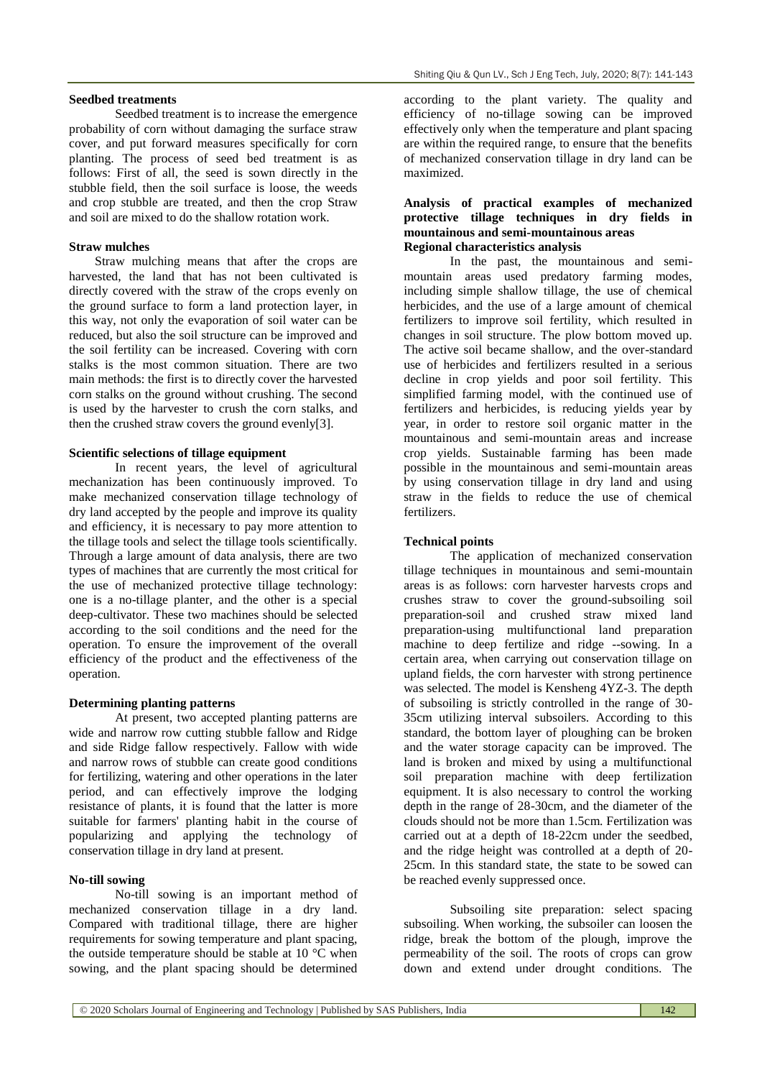Seedbed treatment is to increase the emergence probability of corn without damaging the surface straw cover, and put forward measures specifically for corn planting. The process of seed bed treatment is as follows: First of all, the seed is sown directly in the stubble field, then the soil surface is loose, the weeds and crop stubble are treated, and then the crop Straw and soil are mixed to do the shallow rotation work.

#### **Straw mulches**

Straw mulching means that after the crops are harvested, the land that has not been cultivated is directly covered with the straw of the crops evenly on the ground surface to form a land protection layer, in this way, not only the evaporation of soil water can be reduced, but also the soil structure can be improved and the soil fertility can be increased. Covering with corn stalks is the most common situation. There are two main methods: the first is to directly cover the harvested corn stalks on the ground without crushing. The second is used by the harvester to crush the corn stalks, and then the crushed straw covers the ground evenly[3].

#### **Scientific selections of tillage equipment**

In recent years, the level of agricultural mechanization has been continuously improved. To make mechanized conservation tillage technology of dry land accepted by the people and improve its quality and efficiency, it is necessary to pay more attention to the tillage tools and select the tillage tools scientifically. Through a large amount of data analysis, there are two types of machines that are currently the most critical for the use of mechanized protective tillage technology: one is a no-tillage planter, and the other is a special deep-cultivator. These two machines should be selected according to the soil conditions and the need for the operation. To ensure the improvement of the overall efficiency of the product and the effectiveness of the operation.

#### **Determining planting patterns**

At present, two accepted planting patterns are wide and narrow row cutting stubble fallow and Ridge and side Ridge fallow respectively. Fallow with wide and narrow rows of stubble can create good conditions for fertilizing, watering and other operations in the later period, and can effectively improve the lodging resistance of plants, it is found that the latter is more suitable for farmers' planting habit in the course of popularizing and applying the technology of conservation tillage in dry land at present.

### **No-till sowing**

No-till sowing is an important method of mechanized conservation tillage in a dry land. Compared with traditional tillage, there are higher requirements for sowing temperature and plant spacing, the outside temperature should be stable at 10 °C when sowing, and the plant spacing should be determined

according to the plant variety. The quality and efficiency of no-tillage sowing can be improved effectively only when the temperature and plant spacing are within the required range, to ensure that the benefits of mechanized conservation tillage in dry land can be maximized.

# **Analysis of practical examples of mechanized protective tillage techniques in dry fields in mountainous and semi-mountainous areas Regional characteristics analysis**

In the past, the mountainous and semimountain areas used predatory farming modes, including simple shallow tillage, the use of chemical herbicides, and the use of a large amount of chemical fertilizers to improve soil fertility, which resulted in changes in soil structure. The plow bottom moved up. The active soil became shallow, and the over-standard use of herbicides and fertilizers resulted in a serious decline in crop yields and poor soil fertility. This simplified farming model, with the continued use of fertilizers and herbicides, is reducing yields year by year, in order to restore soil organic matter in the mountainous and semi-mountain areas and increase crop yields. Sustainable farming has been made possible in the mountainous and semi-mountain areas by using conservation tillage in dry land and using straw in the fields to reduce the use of chemical fertilizers.

#### **Technical points**

The application of mechanized conservation tillage techniques in mountainous and semi-mountain areas is as follows: corn harvester harvests crops and crushes straw to cover the ground-subsoiling soil preparation-soil and crushed straw mixed land preparation-using multifunctional land preparation machine to deep fertilize and ridge --sowing. In a certain area, when carrying out conservation tillage on upland fields, the corn harvester with strong pertinence was selected. The model is Kensheng 4YZ-3. The depth of subsoiling is strictly controlled in the range of 30- 35cm utilizing interval subsoilers. According to this standard, the bottom layer of ploughing can be broken and the water storage capacity can be improved. The land is broken and mixed by using a multifunctional soil preparation machine with deep fertilization equipment. It is also necessary to control the working depth in the range of 28-30cm, and the diameter of the clouds should not be more than 1.5cm. Fertilization was carried out at a depth of 18-22cm under the seedbed, and the ridge height was controlled at a depth of 20- 25cm. In this standard state, the state to be sowed can be reached evenly suppressed once.

Subsoiling site preparation: select spacing subsoiling. When working, the subsoiler can loosen the ridge, break the bottom of the plough, improve the permeability of the soil. The roots of crops can grow down and extend under drought conditions. The